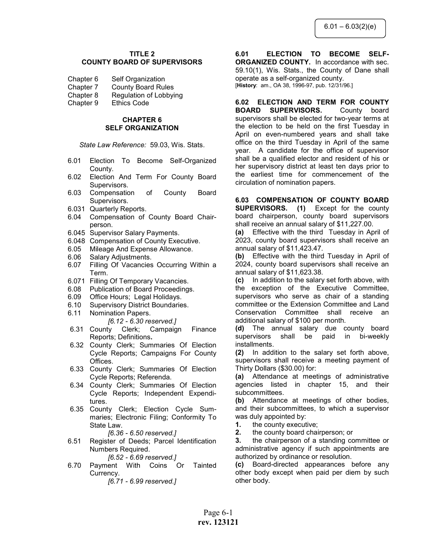# TITLE 2 COUNTY BOARD OF SUPERVISORS

- Chapter 6 Self Organization
- Chapter 7 County Board Rules
- Chapter 8 Regulation of Lobbying
- Chapter 9 Ethics Code

#### CHAPTER 6 SELF ORGANIZATION

State Law Reference: 59.03, Wis. Stats.

- 6.01 Election To Become Self-Organized County.
- 6.02 Election And Term For County Board Supervisors.
- 6.03 Compensation of County Board Supervisors.
- 6.031 Quarterly Reports.
- 6.04 Compensation of County Board Chairperson.
- 6.045 Supervisor Salary Payments.
- 6.048 Compensation of County Executive.
- 6.05 Mileage And Expense Allowance.
- 6.06 Salary Adjustments.
- 6.07 Filling Of Vacancies Occurring Within a Term.
- 6.071 Filling Of Temporary Vacancies.
- 
- 6.08 Publication of Board Proceedings.<br>6.09 Office Hours: Legal Holidays. Office Hours; Legal Holidays.
- 6.10 Supervisory District Boundaries.
- 6.11 Nomination Papers. [6.12 - 6.30 reserved.]
- 6.31 County Clerk; Campaign Finance Reports; Definitions.
- 6.32 County Clerk; Summaries Of Election Cycle Reports; Campaigns For County Offices.
- 6.33 County Clerk; Summaries Of Election Cycle Reports; Referenda.
- 6.34 County Clerk; Summaries Of Election Cycle Reports; Independent Expenditures.
- 6.35 County Clerk; Election Cycle Summaries; Electronic Filing; Conformity To State Law.

[6.36 - 6.50 reserved.]

6.51 Register of Deeds; Parcel Identification Numbers Required.

[6.52 - 6.69 reserved.]

- 6.70 Payment With Coins Or Tainted Currency.
	- [6.71 6.99 reserved.]

6.01 ELECTION TO BECOME SELF-ORGANIZED COUNTY. In accordance with sec. 59.10(1), Wis. Stats., the County of Dane shall operate as a self-organized county. [History: am., OA 38, 1996-97, pub. 12/31/96.]

6.02 ELECTION AND TERM FOR COUNTY BOARD SUPERVISORS. County board supervisors shall be elected for two-year terms at the election to be held on the first Tuesday in April on even-numbered years and shall take office on the third Tuesday in April of the same year. A candidate for the office of supervisor shall be a qualified elector and resident of his or her supervisory district at least ten days prior to the earliest time for commencement of the circulation of nomination papers.

6.03 COMPENSATION OF COUNTY BOARD SUPERVISORS. (1) Except for the county board chairperson, county board supervisors shall receive an annual salary of \$11,227.00.

(a) Effective with the third Tuesday in April of 2023, county board supervisors shall receive an annual salary of \$11,423.47.

(b) Effective with the third Tuesday in April of 2024, county board supervisors shall receive an annual salary of \$11,623.38.

(c) In addition to the salary set forth above, with the exception of the Executive Committee, supervisors who serve as chair of a standing committee or the Extension Committee and Land Conservation Committee shall receive an additional salary of \$100 per month.

(d) The annual salary due county board supervisors shall be paid in bi-weekly installments.

(2) In addition to the salary set forth above, supervisors shall receive a meeting payment of Thirty Dollars (\$30.00) for:

(a) Attendance at meetings of administrative agencies listed in chapter 15, and their subcommittees.

(b) Attendance at meetings of other bodies, and their subcommittees, to which a supervisor was duly appointed by:

- 1. the county executive;
- 2. the county board chairperson; or

3. the chairperson of a standing committee or administrative agency if such appointments are authorized by ordinance or resolution.

(c) Board-directed appearances before any other body except when paid per diem by such other body.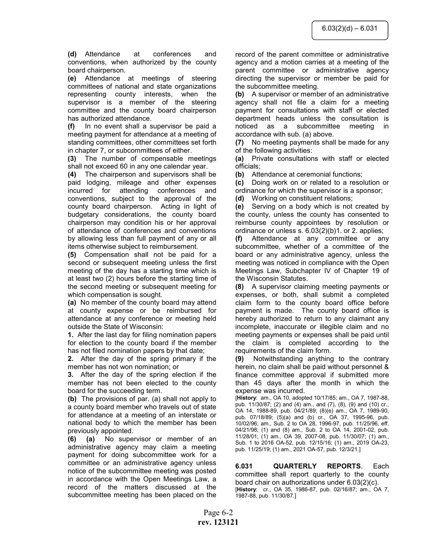(d) Attendance at conferences and conventions, when authorized by the county board chairperson.

(e) Attendance at meetings of steering committees of national and state organizations representing county interests, when the supervisor is a member of the steering committee and the county board chairperson has authorized attendance.

(f) In no event shall a supervisor be paid a meeting payment for attendance at a meeting of standing committees, other committees set forth in chapter 7, or subcommittees of either.

(3) The number of compensable meetings shall not exceed 60 in any one calendar year.

(4) The chairperson and supervisors shall be paid lodging, mileage and other expenses incurred for attending conferences and conventions, subject to the approval of the county board chairperson. Acting in light of budgetary considerations, the county board chairperson may condition his or her approval of attendance of conferences and conventions by allowing less than full payment of any or all items otherwise subject to reimbursement.

(5) Compensation shall not be paid for a second or subsequent meeting unless the first meeting of the day has a starting time which is at least two (2) hours before the starting time of the second meeting or subsequent meeting for which compensation is sought.

(a) No member of the county board may attend at county expense or be reimbursed for attendance at any conference or meeting held outside the State of Wisconsin:

1. After the last day for filing nomination papers for election to the county board if the member has not filed nomination papers by that date;

2. After the day of the spring primary if the member has not won nomination; or

3. After the day of the spring election if the member has not been elected to the county board for the succeeding term.

(b) The provisions of par. (a) shall not apply to a county board member who travels out of state for attendance at a meeting of an interstate or national body to which the member has been previously appointed.

(6) (a) No supervisor or member of an administrative agency may claim a meeting payment for doing subcommittee work for a committee or an administrative agency unless notice of the subcommittee meeting was posted in accordance with the Open Meetings Law, a record of the matters discussed at the subcommittee meeting has been placed on the record of the parent committee or administrative agency and a motion carries at a meeting of the parent committee or administrative agency directing the supervisor or member be paid for the subcommittee meeting.

(b) A supervisor or member of an administrative agency shall not file a claim for a meeting payment for consultations with staff or elected department heads unless the consultation is noticed as a subcommittee meeting in accordance with sub. (a) above.

(7) No meeting payments shall be made for any of the following activities:

(a) Private consultations with staff or elected officials;

(b) Attendance at ceremonial functions;

(c) Doing work on or related to a resolution or ordinance for which the supervisor is a sponsor;

(d) Working on constituent relations;

(e) Serving on a body which is not created by the county, unless the county has consented to reimburse county appointees by resolution or ordinance or unless s. 6.03(2)(b)1. or 2. applies;

(f) Attendance at any committee or any subcommittee, whether of a committee of the board or any administrative agency, unless the meeting was noticed in compliance with the Open Meetings Law, Subchapter IV of Chapter 19 of the Wisconsin Statutes.

(8) A supervisor claiming meeting payments or expenses, or both, shall submit a completed claim form to the county board office before payment is made. The county board office is hereby authorized to return to any claimant any incomplete, inaccurate or illegible claim and no meeting payments or expenses shall be paid until the claim is completed according to the requirements of the claim form.

(9) Notwithstanding anything to the contrary herein, no claim shall be paid without personnel & finance committee approval if submitted more than 45 days after the month in which the expense was incurred.

[History: am., OA 10, adopted 10/17/85; am., OA 7, 1987-88, pub. 11/30/87; (2) and (4) am., and (7), (8), (9) and (10) cr., OA 14, 1988-89, pub. 04/21/89; (8)(e) am., OA 7, 1989-90, pub. 07/18/89; (5)(a) and (b) cr., OA 37, 1995-96, pub. 10/02/96; am., Sub. 2 to OA 28, 1996-97, pub. 11/25/96, eff. 04/21/98; (1) and (8) am., Sub. 2 to OA 14, 2001-02, pub. 11/28/01; (1) am., OA 39, 2007-08, pub. 11/30/07; (1) am., Sub. 1 to 2016 OA-52, pub. 12/15/16; (1) am., 2019 OA-23, pub. 11/25/19; (1) am., 2021 OA-57, pub. 12/3/21.]

6.031 QUARTERLY REPORTS. Each committee shall report quarterly to the county board chair on authorizations under 6.03(2)(c). [History: cr., OA 35, 1986-87, pub. 02/16/87; am., OA 7, 1987-88, pub. 11/30/87.]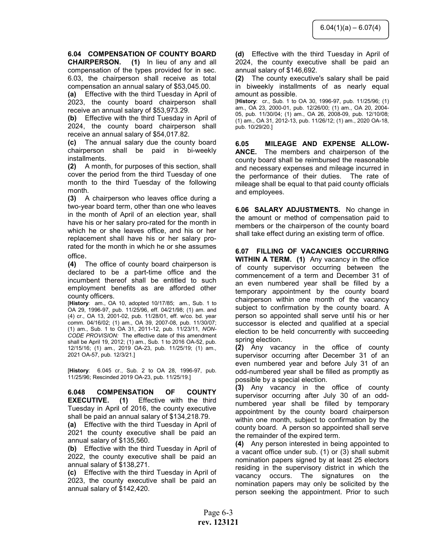6.04 COMPENSATION OF COUNTY BOARD CHAIRPERSON. (1) In lieu of any and all compensation of the types provided for in sec. 6.03, the chairperson shall receive as total compensation an annual salary of \$53,045.00.

(a) Effective with the third Tuesday in April of 2023, the county board chairperson shall receive an annual salary of \$53,973.29.

(b) Effective with the third Tuesday in April of 2024, the county board chairperson shall receive an annual salary of \$54,017.82.

(c) The annual salary due the county board chairperson shall be paid in bi-weekly installments.

(2) A month, for purposes of this section, shall cover the period from the third Tuesday of one month to the third Tuesday of the following month.

(3) A chairperson who leaves office during a two-year board term, other than one who leaves in the month of April of an election year, shall have his or her salary pro-rated for the month in which he or she leaves office, and his or her replacement shall have his or her salary prorated for the month in which he or she assumes office.

(4) The office of county board chairperson is declared to be a part-time office and the incumbent thereof shall be entitled to such employment benefits as are afforded other county officers.

[History: am., OA 10, adopted 10/17/85; am., Sub. 1 to OA 29, 1996-97, pub. 11/25/96, eff. 04/21/98; (1) am. and (4) cr., OA 13, 2001-02, pub. 11/28/01, eff. w/co. bd. year comm. 04/16/02; (1) am., OA 39, 2007-08, pub. 11/30/07; (1) am., Sub. 1 to OA 31, 2011-12, pub. 11/23/11, NON-CODE PROVISION: The effective date of this amendment shall be April 19, 2012; (1) am., Sub. 1 to 2016 OA-52, pub. 12/15/16; (1) am., 2019 OA-23, pub. 11/25/19; (1) am., 2021 OA-57, pub. 12/3/21.]

[History: 6.045 cr., Sub. 2 to OA 28, 1996-97, pub. 11/25/96; Rescinded 2019 OA-23, pub. 11/25/19.]

6.048 COMPENSATION OF COUNTY EXECUTIVE. (1) Effective with the third Tuesday in April of 2016, the county executive shall be paid an annual salary of \$134,218.79.

(a) Effective with the third Tuesday in April of 2021 the county executive shall be paid an annual salary of \$135,560.

(b) Effective with the third Tuesday in April of 2022, the county executive shall be paid an annual salary of \$138,271.

(c) Effective with the third Tuesday in April of 2023, the county executive shall be paid an annual salary of \$142,420.

(d) Effective with the third Tuesday in April of 2024, the county executive shall be paid an annual salary of \$146,692.

(2) The county executive's salary shall be paid in biweekly installments of as nearly equal amount as possible.

[History: cr., Sub. 1 to OA 30, 1996-97, pub. 11/25/96; (1) am., OA 23, 2000-01, pub. 12/26/00; (1) am., OA 20, 2004- 05, pub. 11/30/04; (1) am., OA 26, 2008-09, pub. 12/10/08; (1) am., OA 31, 2012-13, pub. 11/26/12; (1) am., 2020 OA-18, pub. 10/29/20.]

6.05 MILEAGE AND EXPENSE ALLOW-ANCE. The members and chairperson of the county board shall be reimbursed the reasonable and necessary expenses and mileage incurred in the performance of their duties. The rate of mileage shall be equal to that paid county officials and employees.

6.06 SALARY ADJUSTMENTS. No change in the amount or method of compensation paid to members or the chairperson of the county board shall take effect during an existing term of office.

6.07 FILLING OF VACANCIES OCCURRING WITHIN A TERM. (1) Any vacancy in the office of county supervisor occurring between the commencement of a term and December 31 of an even numbered year shall be filled by a temporary appointment by the county board chairperson within one month of the vacancy subject to confirmation by the county board. A person so appointed shall serve until his or her successor is elected and qualified at a special election to be held concurrently with succeeding spring election.

(2) Any vacancy in the office of county supervisor occurring after December 31 of an even numbered year and before July 31 of an odd-numbered year shall be filled as promptly as possible by a special election.

(3) Any vacancy in the office of county supervisor occurring after July 30 of an oddnumbered year shall be filled by temporary appointment by the county board chairperson within one month, subject to confirmation by the county board. A person so appointed shall serve the remainder of the expired term.

(4) Any person interested in being appointed to a vacant office under sub. (1) or (3) shall submit nomination papers signed by at least 25 electors residing in the supervisory district in which the vacancy occurs. The signatures on the nomination papers may only be solicited by the person seeking the appointment. Prior to such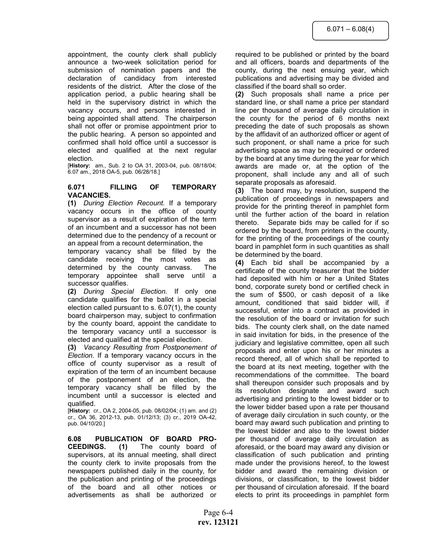appointment, the county clerk shall publicly announce a two-week solicitation period for submission of nomination papers and the declaration of candidacy from interested residents of the district. After the close of the application period, a public hearing shall be held in the supervisory district in which the vacancy occurs, and persons interested in being appointed shall attend. The chairperson shall not offer or promise appointment prior to the public hearing. A person so appointed and confirmed shall hold office until a successor is elected and qualified at the next regular election.

[History: am., Sub. 2 to OA 31, 2003-04, pub. 08/18/04; 6.07 am., 2018 OA-5, pub. 06/28/18.]

## 6.071 FILLING OF TEMPORARY VACANCIES.

(1) During Election Recount. If a temporary vacancy occurs in the office of county supervisor as a result of expiration of the term of an incumbent and a successor has not been determined due to the pendency of a recount or an appeal from a recount determination, the

temporary vacancy shall be filled by the candidate receiving the most votes as determined by the county canvass. The temporary appointee shall serve until a successor qualifies.

(2) During Special Election. If only one candidate qualifies for the ballot in a special election called pursuant to s. 6.07(1), the county board chairperson may, subject to confirmation by the county board, appoint the candidate to the temporary vacancy until a successor is elected and qualified at the special election.

(3) Vacancy Resulting from Postponement of Election. If a temporary vacancy occurs in the office of county supervisor as a result of expiration of the term of an incumbent because of the postponement of an election, the temporary vacancy shall be filled by the incumbent until a successor is elected and qualified.

[History: cr., OA 2, 2004-05, pub. 08/02/04; (1) am. and (2) cr., OA 36, 2012-13, pub. 01/12/13; (3) cr., 2019 OA-42, pub. 04/10/20.]

6.08 PUBLICATION OF BOARD PRO-CEEDINGS. (1) The county board of supervisors, at its annual meeting, shall direct the county clerk to invite proposals from the newspapers published daily in the county, for the publication and printing of the proceedings of the board and all other notices or advertisements as shall be authorized or

required to be published or printed by the board and all officers, boards and departments of the county, during the next ensuing year, which publications and advertising may be divided and classified if the board shall so order.

(2) Such proposals shall name a price per standard line, or shall name a price per standard line per thousand of average daily circulation in the county for the period of 6 months next preceding the date of such proposals as shown by the affidavit of an authorized officer or agent of such proponent, or shall name a price for such advertising space as may be required or ordered by the board at any time during the year for which awards are made or, at the option of the proponent, shall include any and all of such separate proposals as aforesaid.

(3) The board may, by resolution, suspend the publication of proceedings in newspapers and provide for the printing thereof in pamphlet form until the further action of the board in relation thereto. Separate bids may be called for if so ordered by the board, from printers in the county, for the printing of the proceedings of the county board in pamphlet form in such quantities as shall be determined by the board.

(4) Each bid shall be accompanied by a certificate of the county treasurer that the bidder had deposited with him or her a United States bond, corporate surety bond or certified check in the sum of \$500, or cash deposit of a like amount, conditioned that said bidder will, if successful, enter into a contract as provided in the resolution of the board or invitation for such bids. The county clerk shall, on the date named in said invitation for bids, in the presence of the judiciary and legislative committee, open all such proposals and enter upon his or her minutes a record thereof, all of which shall be reported to the board at its next meeting, together with the recommendations of the committee. The board shall thereupon consider such proposals and by its resolution designate and award such advertising and printing to the lowest bidder or to the lower bidder based upon a rate per thousand of average daily circulation in such county, or the board may award such publication and printing to the lowest bidder and also to the lowest bidder per thousand of average daily circulation as aforesaid, or the board may award any division or classification of such publication and printing made under the provisions hereof, to the lowest bidder and award the remaining division or divisions, or classification, to the lowest bidder per thousand of circulation aforesaid. If the board elects to print its proceedings in pamphlet form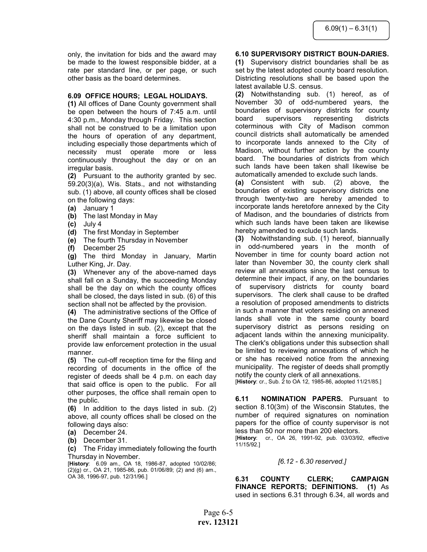only, the invitation for bids and the award may be made to the lowest responsible bidder, at a rate per standard line, or per page, or such other basis as the board determines.

# 6.09 OFFICE HOURS; LEGAL HOLIDAYS.

(1) All offices of Dane County government shall be open between the hours of 7:45 a.m. until 4:30 p.m., Monday through Friday. This section shall not be construed to be a limitation upon the hours of operation of any department, including especially those departments which of necessity must operate more or less continuously throughout the day or on an irregular basis.

(2) Pursuant to the authority granted by sec. 59.20(3)(a), Wis. Stats., and not withstanding sub. (1) above, all county offices shall be closed on the following days:

- (a) January 1
- (b) The last Monday in May
- $(c)$  July 4
- (d) The first Monday in September
- (e) The fourth Thursday in November
- (f) December 25

(g) The third Monday in January, Martin Luther King, Jr. Day.

(3) Whenever any of the above-named days shall fall on a Sunday, the succeeding Monday shall be the day on which the county offices shall be closed, the days listed in sub. (6) of this section shall not be affected by the provision.

(4) The administrative sections of the Office of the Dane County Sheriff may likewise be closed on the days listed in sub. (2), except that the sheriff shall maintain a force sufficient to provide law enforcement protection in the usual manner.

(5) The cut-off reception time for the filing and recording of documents in the office of the register of deeds shall be 4 p.m. on each day that said office is open to the public. For all other purposes, the office shall remain open to the public.

(6) In addition to the days listed in sub. (2) above, all county offices shall be closed on the following days also:

(a) December 24.

(b) December 31.

(c) The Friday immediately following the fourth Thursday in November.

[History: 6.09 am., OA 18, 1986-87, adopted 10/02/86; (2)(g) cr., OA 21, 1985-86, pub. 01/06/89; (2) and (6) am., OA 38, 1996-97, pub. 12/31/96.]

# 6.10 SUPERVISORY DISTRICT BOUN-DARIES.

(1) Supervisory district boundaries shall be as set by the latest adopted county board resolution. Districting resolutions shall be based upon the latest available U.S. census.

(2) Notwithstanding sub. (1) hereof, as of November 30 of odd-numbered years, the boundaries of supervisory districts for county board supervisors representing districts coterminous with City of Madison common council districts shall automatically be amended to incorporate lands annexed to the City of Madison, without further action by the county board. The boundaries of districts from which such lands have been taken shall likewise be automatically amended to exclude such lands.

(a) Consistent with sub. (2) above, the boundaries of existing supervisory districts one through twenty-two are hereby amended to incorporate lands heretofore annexed by the City of Madison, and the boundaries of districts from which such lands have been taken are likewise hereby amended to exclude such lands.

(3) Notwithstanding sub. (1) hereof, biannually in odd-numbered years in the month of November in time for county board action not later than November 30, the county clerk shall review all annexations since the last census to determine their impact, if any, on the boundaries of supervisory districts for county board supervisors. The clerk shall cause to be drafted a resolution of proposed amendments to districts in such a manner that voters residing on annexed lands shall vote in the same county board supervisory district as persons residing on adjacent lands within the annexing municipality. The clerk's obligations under this subsection shall be limited to reviewing annexations of which he or she has received notice from the annexing municipality. The register of deeds shall promptly notify the county clerk of all annexations.

[History: cr., Sub. 2 to OA 12, 1985-86, adopted 11/21/85.]

6.11 NOMINATION PAPERS. Pursuant to section 8.10(3m) of the Wisconsin Statutes, the number of required signatures on nomination papers for the office of county supervisor is not less than 50 nor more than 200 electors.

[History: cr., OA 26, 1991-92, pub. 03/03/92, effective 11/15/92.]

## [6.12 - 6.30 reserved.]

6.31 COUNTY CLERK; CAMPAIGN FINANCE REPORTS; DEFINITIONS. (1) As used in sections 6.31 through 6.34, all words and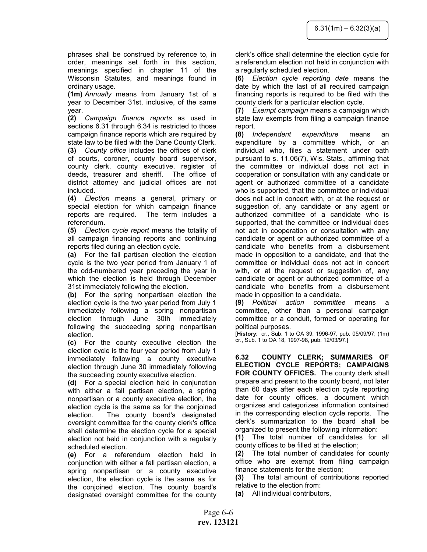phrases shall be construed by reference to, in order, meanings set forth in this section, meanings specified in chapter 11 of the Wisconsin Statutes, and meanings found in ordinary usage.

(1m) Annually means from January 1st of a year to December 31st, inclusive, of the same year.

(2) Campaign finance reports as used in sections 6.31 through 6.34 is restricted to those campaign finance reports which are required by state law to be filed with the Dane County Clerk.

(3) County office includes the offices of clerk of courts, coroner, county board supervisor, county clerk, county executive, register of deeds, treasurer and sheriff. The office of district attorney and judicial offices are not included.

(4) Election means a general, primary or special election for which campaign finance reports are required. The term includes a referendum.

(5) Election cycle report means the totality of all campaign financing reports and continuing reports filed during an election cycle.

(a) For the fall partisan election the election cycle is the two year period from January 1 of the odd-numbered year preceding the year in which the election is held through December 31st immediately following the election.

(b) For the spring nonpartisan election the election cycle is the two year period from July 1 immediately following a spring nonpartisan election through June 30th immediately following the succeeding spring nonpartisan election.

(c) For the county executive election the election cycle is the four year period from July 1 immediately following a county executive election through June 30 immediately following the succeeding county executive election.

(d) For a special election held in conjunction with either a fall partisan election, a spring nonpartisan or a county executive election, the election cycle is the same as for the conjoined election. The county board's designated oversight committee for the county clerk's office shall determine the election cycle for a special election not held in conjunction with a regularly scheduled election.

(e) For a referendum election held in conjunction with either a fall partisan election, a spring nonpartisan or a county executive election, the election cycle is the same as for the conjoined election. The county board's designated oversight committee for the county

clerk's office shall determine the election cycle for a referendum election not held in conjunction with a regularly scheduled election.

(6) Election cycle reporting date means the date by which the last of all required campaign financing reports is required to be filed with the county clerk for a particular election cycle.

(7) Exempt campaign means a campaign which state law exempts from filing a campaign finance report.

(8) Independent expenditure means an expenditure by a committee which, or an individual who, files a statement under oath pursuant to s. 11.06(7), Wis. Stats., affirming that the committee or individual does not act in cooperation or consultation with any candidate or agent or authorized committee of a candidate who is supported, that the committee or individual does not act in concert with, or at the request or suggestion of, any candidate or any agent or authorized committee of a candidate who is supported, that the committee or individual does not act in cooperation or consultation with any candidate or agent or authorized committee of a candidate who benefits from a disbursement made in opposition to a candidate, and that the committee or individual does not act in concert with, or at the request or suggestion of, any candidate or agent or authorized committee of a candidate who benefits from a disbursement made in opposition to a candidate.

(9) Political action committee means a committee, other than a personal campaign committee or a conduit, formed or operating for political purposes.

[History: cr., Sub. 1 to OA 39, 1996-97, pub. 05/09/97; (1m) cr., Sub. 1 to OA 18, 1997-98, pub. 12/03/97.]

6.32 COUNTY CLERK; SUMMARIES OF ELECTION CYCLE REPORTS; CAMPAIGNS FOR COUNTY OFFICES. The county clerk shall prepare and present to the county board, not later than 60 days after each election cycle reporting date for county offices, a document which organizes and categorizes information contained in the corresponding election cycle reports. The clerk's summarization to the board shall be organized to present the following information:

(1) The total number of candidates for all county offices to be filled at the election;

(2) The total number of candidates for county office who are exempt from filing campaign finance statements for the election;

(3) The total amount of contributions reported relative to the election from:

(a) All individual contributors,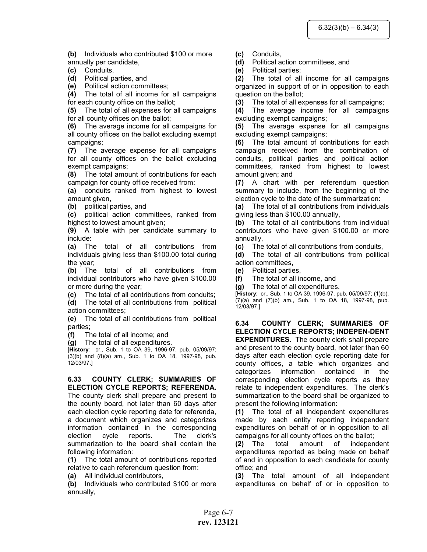(b) Individuals who contributed \$100 or more annually per candidate,

(c) Conduits,

(d) Political parties, and

(e) Political action committees;

(4) The total of all income for all campaigns for each county office on the ballot;

(5) The total of all expenses for all campaigns for all county offices on the ballot;

(6) The average income for all campaigns for all county offices on the ballot excluding exempt campaigns;

(7) The average expense for all campaigns for all county offices on the ballot excluding exempt campaigns;

(8) The total amount of contributions for each campaign for county office received from:

(a) conduits ranked from highest to lowest amount given,

(b) political parties, and

(c) political action committees, ranked from highest to lowest amount given;

(9) A table with per candidate summary to include:

(a) The total of all contributions from individuals giving less than \$100.00 total during the year;

(b) The total of all contributions from individual contributors who have given \$100.00 or more during the year;

(c) The total of all contributions from conduits;

(d) The total of all contributions from political action committees;

(e) The total of all contributions from political parties;

(f) The total of all income; and

(g) The total of all expenditures.

[History: cr., Sub. 1 to OA 39, 1996-97, pub. 05/09/97; (3)(b) and (8)(a) am., Sub. 1 to OA 18, 1997-98, pub. 12/03/97.]

#### 6.33 COUNTY CLERK; SUMMARIES OF ELECTION CYCLE REPORTS; REFERENDA.

The county clerk shall prepare and present to the county board, not later than 60 days after each election cycle reporting date for referenda, a document which organizes and categorizes information contained in the corresponding election cycle reports. The clerk's summarization to the board shall contain the following information:

(1) The total amount of contributions reported relative to each referendum question from:

(a) All individual contributors,

(b) Individuals who contributed \$100 or more annually,

(c) Conduits,

(d) Political action committees, and

(e) Political parties;

(2) The total of all income for all campaigns organized in support of or in opposition to each question on the ballot;

(3) The total of all expenses for all campaigns;

(4) The average income for all campaigns excluding exempt campaigns;

(5) The average expense for all campaigns excluding exempt campaigns;

(6) The total amount of contributions for each campaign received from the combination of conduits, political parties and political action committees, ranked from highest to lowest amount given; and

(7) A chart with per referendum question summary to include, from the beginning of the election cycle to the date of the summarization:

(a) The total of all contributions from individuals giving less than \$100.00 annually,

(b) The total of all contributions from individual contributors who have given \$100.00 or more annually,

(c) The total of all contributions from conduits,

(d) The total of all contributions from political action committees,

- (e) Political parties,
- (f) The total of all income, and
- (g) The total of all expenditures.

[History: cr., Sub. 1 to OA 39, 1996-97, pub. 05/09/97; (1)(b), (7)(a) and (7)(b) am., Sub. 1 to OA 18, 1997-98, pub. 12/03/97.]

6.34 COUNTY CLERK; SUMMARIES OF ELECTION CYCLE REPORTS; INDEPEN-DENT **EXPENDITURES.** The county clerk shall prepare and present to the county board, not later than 60 days after each election cycle reporting date for county offices, a table which organizes and categorizes information contained in the corresponding election cycle reports as they relate to independent expenditures. The clerk's summarization to the board shall be organized to present the following information:

(1) The total of all independent expenditures made by each entity reporting independent expenditures on behalf of or in opposition to all campaigns for all county offices on the ballot;

(2) The total amount of independent expenditures reported as being made on behalf of and in opposition to each candidate for county office; and

(3) The total amount of all independent expenditures on behalf of or in opposition to